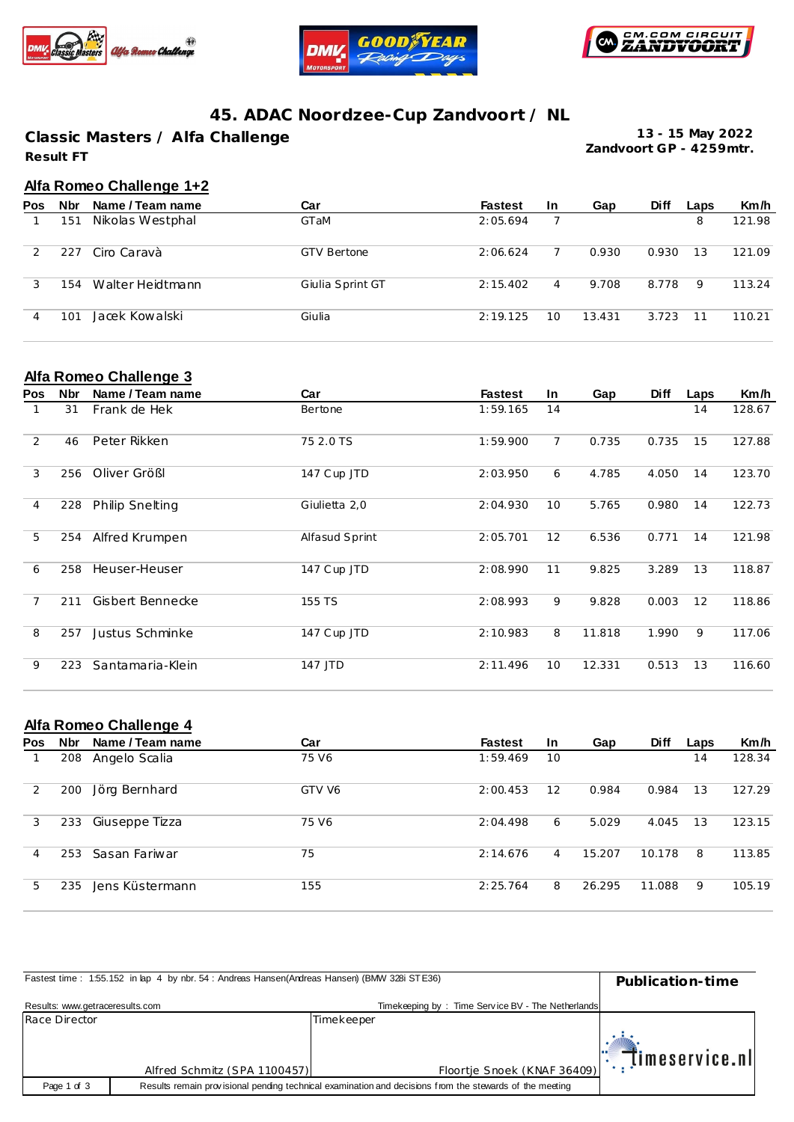





# **45. ADAC Noordzee-Cup Zandvoort / NL**

**Result FT Classic Masters / Alfa Challenge**

**13 - 15 May 2022 Zandvoort GP - 4259mtr.**

## **Alfa Romeo Challenge 1+2**

| <b>Pos</b> | <b>Nbr</b> | Name / Team name | Car                | <b>Fastest</b> | <b>In</b> | Gap    | <b>Diff</b> | Laps | Km/h   |
|------------|------------|------------------|--------------------|----------------|-----------|--------|-------------|------|--------|
|            | 151        | Nikolas Westphal | GTaM               | 2:05.694       |           |        |             | 8    | 121.98 |
|            | 227        | Ciro Caravà      | <b>GTV Bertone</b> | 2:06.624       |           | 0.930  | 0.930       | 13   | 121.09 |
|            | 154        | Walter Heidtmann | Giulia Sprint GT   | 2:15.402       | 4         | 9.708  | 8.778       | 9    | 113.24 |
|            | 101        | Jacek Kowalski   | Giulia             | 2:19.125       | 10        | 13.431 | 3.723       | 11   | 110.21 |

### **Alfa Romeo Challenge 3**

| <b>Pos</b> | Nbr | Name / Team name       | Car            | <b>Fastest</b> | <b>In</b>      | Gap    | <b>Diff</b> | Laps | Km/h   |
|------------|-----|------------------------|----------------|----------------|----------------|--------|-------------|------|--------|
|            | 31  | Frank de Hek           | Bertone        | 1:59.165       | 14             |        |             | 14   | 128.67 |
| 2          | 46  | Peter Rikken           | 75 2.0 TS      | 1:59.900       | $\overline{7}$ | 0.735  | 0.735       | 15   | 127.88 |
| 3          | 256 | Oliver Größl           | 147 Cup JTD    | 2:03.950       | 6              | 4.785  | 4.050       | 14   | 123.70 |
| 4          | 228 | <b>Philip Snelting</b> | Giulietta 2,0  | 2:04.930       | 10             | 5.765  | 0.980       | 14   | 122.73 |
| 5          | 254 | Alfred Krumpen         | Alfasud Sprint | 2:05.701       | 12             | 6.536  | 0.771       | 14   | 121.98 |
| 6          | 258 | Heuser-Heuser          | 147 Cup JTD    | 2:08.990       | 11             | 9.825  | 3.289       | 13   | 118.87 |
| 7          | 211 | Gisbert Bennecke       | 155 TS         | 2:08.993       | 9              | 9.828  | 0.003       | 12   | 118.86 |
| 8          | 257 | Justus Schminke        | 147 Cup JTD    | 2:10.983       | 8              | 11.818 | 1.990       | 9    | 117.06 |
| 9          | 223 | Santamaria-Klein       | 147 JTD        | 2:11.496       | 10             | 12.331 | 0.513       | 13   | 116.60 |

#### **Alfa Romeo Challenge 4**

| <b>Pos</b> | <b>Nbr</b> | Name / Team name | Car    | <b>Fastest</b> | <b>In</b> | Gap    | <b>Diff</b> | Laps | Km/h   |
|------------|------------|------------------|--------|----------------|-----------|--------|-------------|------|--------|
|            | 208        | Angelo Scalia    | 75 V6  | 1:59.469       | 10        |        |             | 14   | 128.34 |
| 2          | 200        | Jörg Bernhard    | GTV V6 | 2:00.453       | 12        | 0.984  | 0.984       | 13   | 127.29 |
| 3          | 233        | Giuseppe Tizza   | 75 V6  | 2:04.498       | 6         | 5.029  | 4.045       | 13   | 123.15 |
| 4          | 253        | Sasan Fariwar    | 75     | 2:14.676       | 4         | 15.207 | 10.178      | 8    | 113.85 |
| 5.         | 235        | Jens Küstermann  | 155    | 2:25.764       | 8         | 26.295 | 11.088      | 9    | 105.19 |

|                                 | Fastest time: 1:55.152 in lap 4 by nbr. 54 : Andreas Hansen(Andreas Hansen) (BMW 328i STE36) |                                                                                                         |                            |  |  |  |
|---------------------------------|----------------------------------------------------------------------------------------------|---------------------------------------------------------------------------------------------------------|----------------------------|--|--|--|
| Results: www.getraceresults.com |                                                                                              | Timekeeping by: Time Service BV - The Netherlands                                                       |                            |  |  |  |
| Race Director                   |                                                                                              | Timekeeper                                                                                              |                            |  |  |  |
|                                 |                                                                                              |                                                                                                         | $\mathbb{T}$ imeservice.nl |  |  |  |
|                                 | Alfred Schmitz (SPA 1100457)                                                                 | Floortje Snoek (KNAF 36409)                                                                             |                            |  |  |  |
| Page 1 of 3                     |                                                                                              | Results remain provisional pending technical examination and decisions from the stewards of the meeting |                            |  |  |  |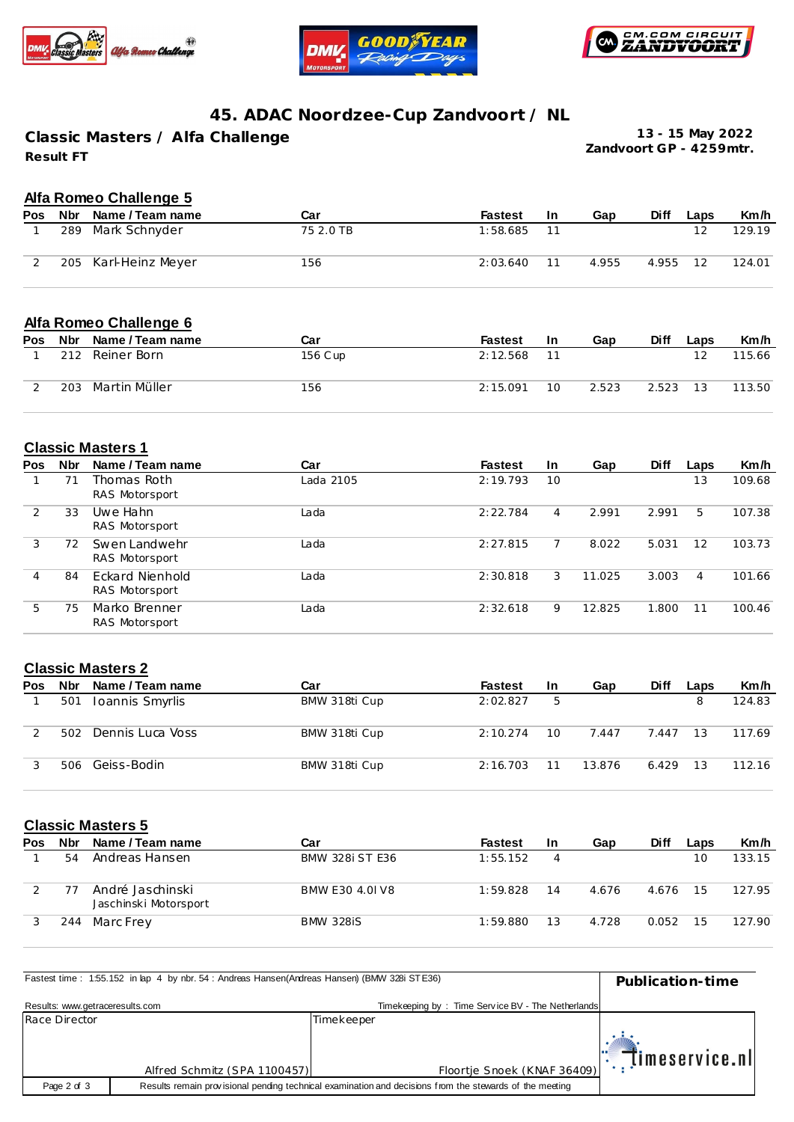





# **45. ADAC Noordzee-Cup Zandvoort / NL**

**Result FT Classic Masters / Alfa Challenge**

**13 - 15 May 2022 Zandvoort GP - 4259mtr.**

### **Alfa Romeo Challenge 5**

| <b>Pos</b> | Nbr | Name / Team name     | Car       | Fastest  | -In | Gap   | <b>Diff</b> | Laps | Km/h   |
|------------|-----|----------------------|-----------|----------|-----|-------|-------------|------|--------|
|            | 289 | Mark Schnyder        | 75 2.0 TB | 1:58.685 |     |       |             | 1つ   | 129.19 |
|            |     | 205 Karl-Heinz Meyer | 156       | 2:03.640 |     | 4.955 | 4.955       | -12  | 124.01 |

#### **Alfa Romeo Challenge 6**

| <b>Pos</b> | Nbr | Name / Team name | Car      | <b>Fastest</b> | <b>In</b> | Gap   | <b>Diff</b> | Laps | Km/h   |
|------------|-----|------------------|----------|----------------|-----------|-------|-------------|------|--------|
|            | 212 | Reiner Born      | 156 C up | 2:12.568       |           |       |             | 12   | 115.66 |
|            | 203 | Martin Müller    | 156      | 2:15.091       | 10        | 2.523 | 2.523       | 13   | 113.50 |

#### **Classic Masters 1**

| <b>Pos</b> | Nbr | Name / Team name                  | Car       | <b>Fastest</b> | <b>In</b> | Gap    | <b>Diff</b> | Laps | Km/h   |
|------------|-----|-----------------------------------|-----------|----------------|-----------|--------|-------------|------|--------|
|            |     | Thomas Roth<br>RAS Motorsport     | Lada 2105 | 2:19.793       | 10        |        |             | 13   | 109.68 |
|            | 33  | Uwe Hahn<br>RAS Motorsport        | Lada      | 2:22.784       | 4         | 2.991  | 2.991       | 5    | 107.38 |
| 3          | 72  | Swen Landwehr<br>RAS Motorsport   | Lada      | 2:27.815       |           | 8.022  | 5.031       | 12   | 103.73 |
| 4          | 84  | Eckard Nienhold<br>RAS Motorsport | Lada      | 2:30.818       | 3         | 11.025 | 3.003       | 4    | 101.66 |
| 5          | 75  | Marko Brenner<br>RAS Motorsport   | Lada      | 2:32.618       | 9         | 12.825 | 1.800       | 11   | 100.46 |

#### **Classic Masters 2**

| Pos | Nbr | Name / Team name | Car           | <b>Fastest</b> | -In | Gap    | Diff  | Laps | Km/h   |
|-----|-----|------------------|---------------|----------------|-----|--------|-------|------|--------|
|     | 501 | Ioannis Smyrlis  | BMW 318ti Cup | 2:02.827       | b   |        |       | 8    | 124.83 |
|     | 502 | Dennis Luca Voss | BMW 318ti Cup | 2:10.274       | 10  | 7.447  | 7.447 | 13   | 117.69 |
|     | 506 | Geiss-Bodin      | BMW 318ti Cup | 2:16.703       | 11  | 13.876 | 6.429 | 13   | 112.16 |

#### **Classic Masters 5**

| Pos | <b>Nbr</b> | Name / Team name                          | Car                    | <b>Fastest</b> | -In | Gap   | <b>Diff</b> | Laps | Km/h   |
|-----|------------|-------------------------------------------|------------------------|----------------|-----|-------|-------------|------|--------|
|     | 54         | Andreas Hansen                            | <b>BMW 328i ST E36</b> | 1:55.152       |     |       |             | 10   | 133.15 |
|     |            | André Jaschinski<br>Jaschinski Motorsport | BMW E30 4.0 V8         | 1:59.828       | 14  | 4.676 | 4.676       | 15   | 127.95 |
|     | 244        | Marc Frev                                 | <b>BMW 328iS</b>       | 1:59.880       | 13  | 4.728 | 0.052       | 15   | 127.90 |

|                                 | Fastest time: 1:55.152 in lap 4 by nbr. 54 : Andreas Hansen(Andreas Hansen) (BMW 328i STE36) |                                                                                                         |                                         |  |
|---------------------------------|----------------------------------------------------------------------------------------------|---------------------------------------------------------------------------------------------------------|-----------------------------------------|--|
| Results: www.getraceresults.com |                                                                                              | Timekeeping by: Time Service BV - The Netherlands                                                       |                                         |  |
| Race Director                   |                                                                                              | Timekeeper                                                                                              |                                         |  |
|                                 |                                                                                              |                                                                                                         | $\mathbb{E}[\mathbb{T}]$ imeservice.nlı |  |
|                                 | Alfred Schmitz (SPA 1100457)                                                                 | Floortje Snoek (KNAF 36409)                                                                             |                                         |  |
| Page 2 of 3                     |                                                                                              | Results remain provisional pending technical examination and decisions from the stewards of the meeting |                                         |  |